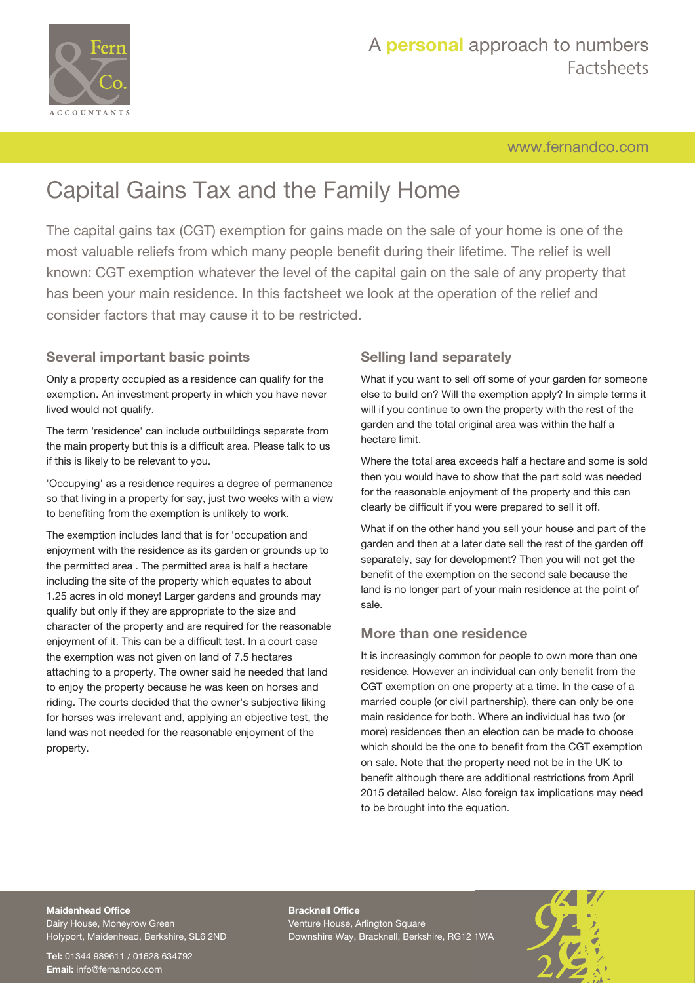

# A **personal** approach to numbers Factsheets

[www.fernandco.com](http://www.fernandco.com)

# Capital Gains Tax and the Family Home

The capital gains tax (CGT) exemption for gains made on the sale of your home is one of the most valuable reliefs from which many people benefit during their lifetime. The relief is well known: CGT exemption whatever the level of the capital gain on the sale of any property that has been your main residence. In this factsheet we look at the operation of the relief and consider factors that may cause it to be restricted.

# **Several important basic points**

Only a property occupied as a residence can qualify for the exemption. An investment property in which you have never lived would not qualify.

The term 'residence' can include outbuildings separate from the main property but this is a difficult area. Please talk to us if this is likely to be relevant to you.

'Occupying' as a residence requires a degree of permanence so that living in a property for say, just two weeks with a view to benefiting from the exemption is unlikely to work.

The exemption includes land that is for 'occupation and enjoyment with the residence as its garden or grounds up to the permitted area'. The permitted area is half a hectare including the site of the property which equates to about 1.25 acres in old money! Larger gardens and grounds may qualify but only if they are appropriate to the size and character of the property and are required for the reasonable enjoyment of it. This can be a difficult test. In a court case the exemption was not given on land of 7.5 hectares attaching to a property. The owner said he needed that land to enjoy the property because he was keen on horses and riding. The courts decided that the owner's subjective liking for horses was irrelevant and, applying an objective test, the land was not needed for the reasonable enjoyment of the property.

# **Selling land separately**

What if you want to sell off some of your garden for someone else to build on? Will the exemption apply? In simple terms it will if you continue to own the property with the rest of the garden and the total original area was within the half a hectare limit.

Where the total area exceeds half a hectare and some is sold then you would have to show that the part sold was needed for the reasonable enjoyment of the property and this can clearly be difficult if you were prepared to sell it off.

What if on the other hand you sell your house and part of the garden and then at a later date sell the rest of the garden off separately, say for development? Then you will not get the benefit of the exemption on the second sale because the land is no longer part of your main residence at the point of sale.

## **More than one residence**

It is increasingly common for people to own more than one residence. However an individual can only benefit from the CGT exemption on one property at a time. In the case of a married couple (or civil partnership), there can only be one main residence for both. Where an individual has two (or more) residences then an election can be made to choose which should be the one to benefit from the CGT exemption on sale. Note that the property need not be in the UK to benefit although there are additional restrictions from April 2015 detailed below. Also foreign tax implications may need to be brought into the equation.

## **Maidenhead Office**

Dairy House, Moneyrow Green Holyport, Maidenhead, Berkshire, SL6 2ND

**Tel:** 01344 989611 / 01628 634792 **Email:** [info@fernandco.com](mailto:info@fernandco.com)

**Bracknell Office** Venture House, Arlington Square Downshire Way, Bracknell, Berkshire, RG12 1WA

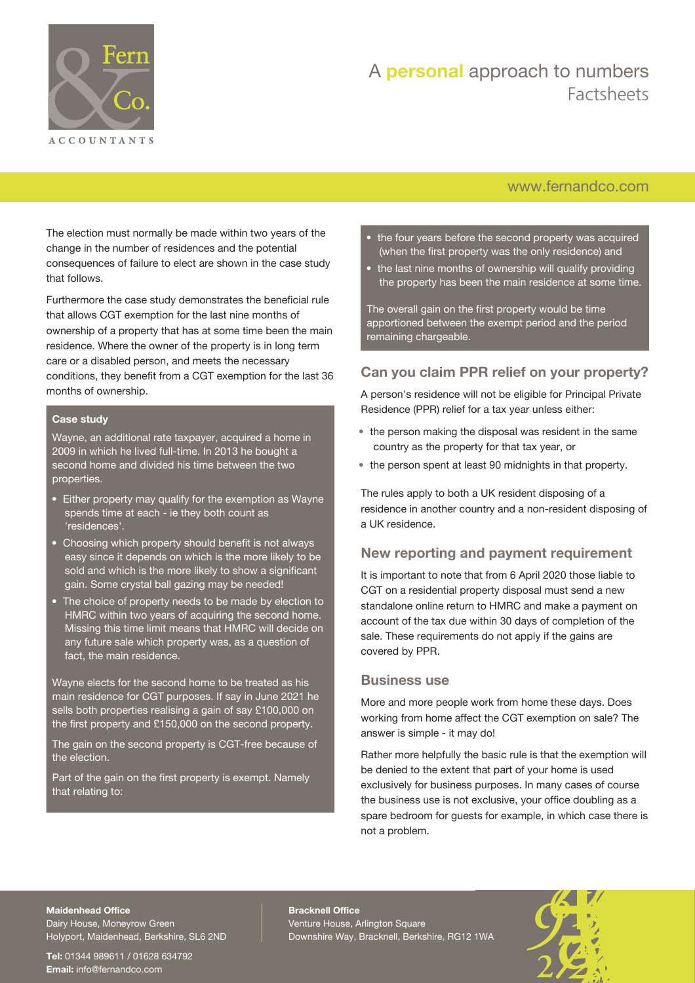

# A **personal** approach to numbers Factsheets

# [www.fernandco.com](http://www.fernandco.com)

The election must normally be made within two years of the change in the number of residences and the potential consequences of failure to elect are shown in the case study that follows.

Furthermore the case study demonstrates the beneficial rule that allows CGT exemption for the last nine months of ownership of a property that has at some time been the main residence. Where the owner of the property is in long term care or a disabled person, and meets the necessary conditions, they benefit from a CGT exemption for the last 36 months of ownership.

#### **Case study**

Wayne, an additional rate taxpayer, acquired a home in 2009 in which he lived full-time. In 2013 he bought a second home and divided his time between the two properties.

- Either property may qualify for the exemption as Wayne spends time at each - ie they both count as 'residences'.
- Choosing which property should benefit is not always easy since it depends on which is the more likely to be sold and which is the more likely to show a significant gain. Some crystal ball gazing may be needed!
- The choice of property needs to be made by election to HMRC within two years of acquiring the second home. Missing this time limit means that HMRC will decide on any future sale which property was, as a question of fact, the main residence.

Wayne elects for the second home to be treated as his main residence for CGT purposes. If say in June 2021 he sells both properties realising a gain of say £100,000 on the first property and £150,000 on the second property.

The gain on the second property is CGT-free because of the election.

Part of the gain on the first property is exempt. Namely that relating to:

- the four years before the second property was acquired (when the first property was the only residence) and
- the last nine months of ownership will qualify providing the property has been the main residence at some time.

The overall gain on the first property would be time apportioned between the exempt period and the period remaining chargeable.

# **Can you claim PPR relief on your property?**

A person's residence will not be eligible for Principal Private Residence (PPR) relief for a tax year unless either:

- the person making the disposal was resident in the same country as the property for that tax year, or
- the person spent at least 90 midnights in that property.

The rules apply to both a UK resident disposing of a residence in another country and a non-resident disposing of a UK residence.

### **New reporting and payment requirement**

It is important to note that from 6 April 2020 those liable to CGT on a residential property disposal must send a new standalone online return to HMRC and make a payment on account of the tax due within 30 days of completion of the sale. These requirements do not apply if the gains are covered by PPR.

#### **Business use**

More and more people work from home these days. Does working from home affect the CGT exemption on sale? The answer is simple - it may do!

Rather more helpfully the basic rule is that the exemption will be denied to the extent that part of your home is used exclusively for business purposes. In many cases of course the business use is not exclusive, your office doubling as a spare bedroom for guests for example, in which case there is not a problem.

#### **Maidenhead Office**

Dairy House, Moneyrow Green Holyport, Maidenhead, Berkshire, SL6 2ND

**Tel:** 01344 989611 / 01628 634792 **Email:** [info@fernandco.com](mailto:info@fernandco.com)

**Bracknell Office** Venture House, Arlington Square Downshire Way, Bracknell, Berkshire, RG12 1WA